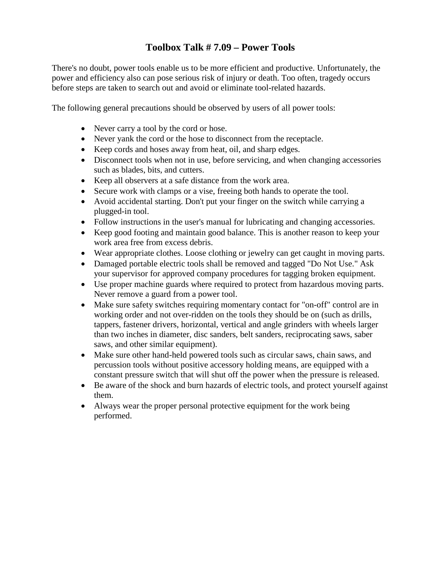## **Toolbox Talk # 7.09 – Power Tools**

There's no doubt, power tools enable us to be more efficient and productive. Unfortunately, the power and efficiency also can pose serious risk of injury or death. Too often, tragedy occurs before steps are taken to search out and avoid or eliminate tool-related hazards.

The following general precautions should be observed by users of all power tools:

- Never carry a tool by the cord or hose.
- Never yank the cord or the hose to disconnect from the receptacle.
- Keep cords and hoses away from heat, oil, and sharp edges.
- Disconnect tools when not in use, before servicing, and when changing accessories such as blades, bits, and cutters.
- Keep all observers at a safe distance from the work area.
- Secure work with clamps or a vise, freeing both hands to operate the tool.
- Avoid accidental starting. Don't put your finger on the switch while carrying a plugged-in tool.
- Follow instructions in the user's manual for lubricating and changing accessories.
- Keep good footing and maintain good balance. This is another reason to keep your work area free from excess debris.
- Wear appropriate clothes. Loose clothing or jewelry can get caught in moving parts.
- Damaged portable electric tools shall be removed and tagged "Do Not Use." Ask your supervisor for approved company procedures for tagging broken equipment.
- Use proper machine guards where required to protect from hazardous moving parts. Never remove a guard from a power tool.
- Make sure safety switches requiring momentary contact for "on-off" control are in working order and not over-ridden on the tools they should be on (such as drills, tappers, fastener drivers, horizontal, vertical and angle grinders with wheels larger than two inches in diameter, disc sanders, belt sanders, reciprocating saws, saber saws, and other similar equipment).
- Make sure other hand-held powered tools such as circular saws, chain saws, and percussion tools without positive accessory holding means, are equipped with a constant pressure switch that will shut off the power when the pressure is released.
- Be aware of the shock and burn hazards of electric tools, and protect yourself against them.
- Always wear the proper personal protective equipment for the work being performed.